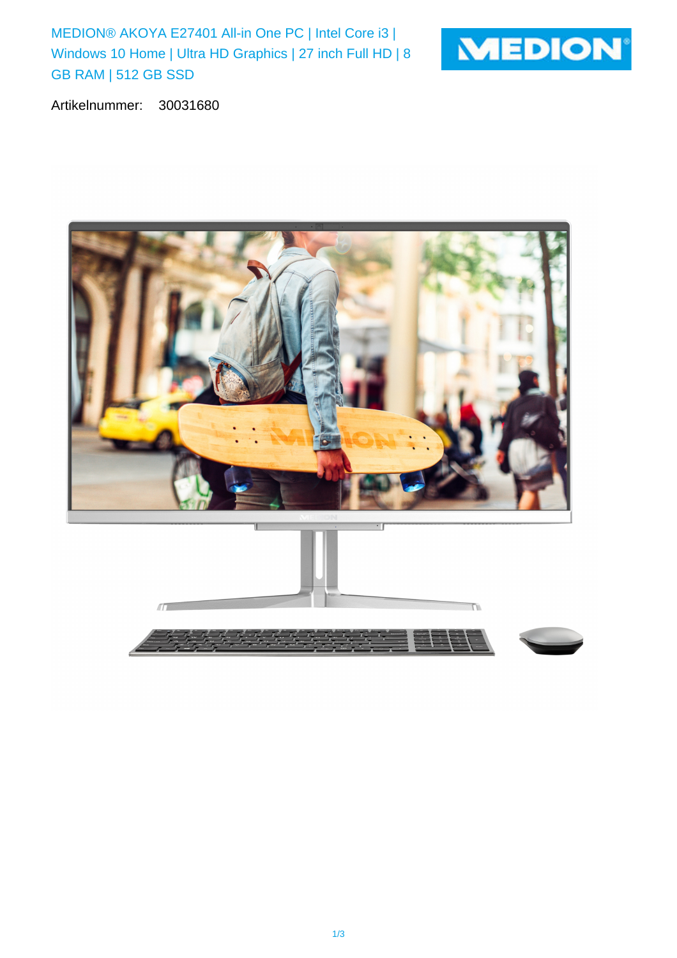MEDION® AKOYA E27401 All-in One PC | Intel Core i3 | Windows 10 Home | Ultra HD Graphics | 27 inch Full HD | 8 GB RAM | 512 GB SSD



Artikelnummer: 30031680

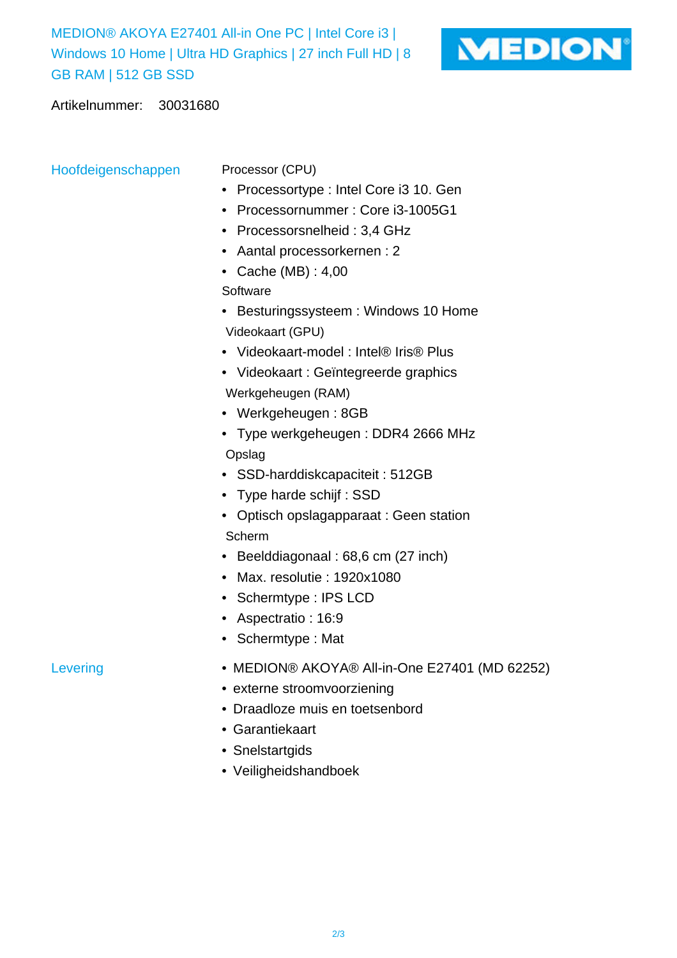MEDION® AKOYA E27401 All-in One PC | Intel Core i3 | Windows 10 Home | Ultra HD Graphics | 27 inch Full HD | 8 GB RAM | 512 GB SSD



Artikelnummer: 30031680

Hoofdeigenschappen Processor (CPU)

- Processortype : Intel Core i3 10. Gen
- Processornummer : Core i3-1005G1
- Processorsnelheid : 3,4 GHz
- Aantal processorkernen : 2
- Cache (MB) : 4,00

**Software** 

- Besturingssysteem : Windows 10 Home Videokaart (GPU)
- Videokaart-model : Intel® Iris® Plus
- Videokaart : Geïntegreerde graphics Werkgeheugen (RAM)
- Werkgeheugen : 8GB
- Type werkgeheugen : DDR4 2666 MHz Opslag
- SSD-harddiskcapaciteit : 512GB
- Type harde schijf : SSD
- Optisch opslagapparaat : Geen station Scherm
- Beelddiagonaal : 68,6 cm (27 inch)
- Max. resolutie : 1920x1080
- Schermtype : IPS LCD
- Aspectratio : 16:9
- Schermtype : Mat
- Levering MEDION® AKOYA® All-in-One E27401 (MD 62252)
	- externe stroomvoorziening
	- Draadloze muis en toetsenbord
	- Garantiekaart
	- Snelstartgids
	- Veiligheidshandboek